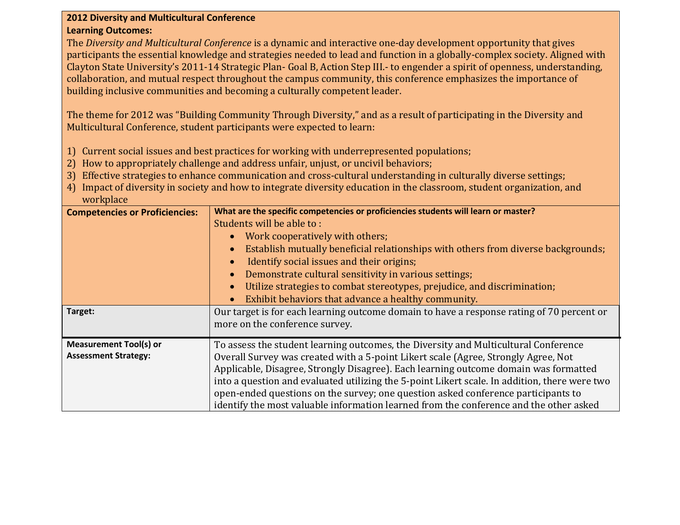## **2012 Diversity and Multicultural Conference Learning Outcomes:**

The *Diversity and Multicultural Conference* is a dynamic and interactive one-day development opportunity that gives participants the essential knowledge and strategies needed to lead and function in a globally-complex society. Aligned with Clayton State University's 2011-14 Strategic Plan- Goal B, Action Step III.- to engender a spirit of openness, understanding, collaboration, and mutual respect throughout the campus community, this conference emphasizes the importance of building inclusive communities and becoming a culturally competent leader.

The theme for 2012 was "Building Community Through Diversity," and as a result of participating in the Diversity and Multicultural Conference, student participants were expected to learn:

- 1) Current social issues and best practices for working with underrepresented populations;
- 2) How to appropriately challenge and address unfair, unjust, or uncivil behaviors;
- 3) Effective strategies to enhance communication and cross-cultural understanding in culturally diverse settings;
- 4) Impact of diversity in society and how to integrate diversity education in the classroom, student organization, and workplace

| <b>Competencies or Proficiencies:</b> | What are the specific competencies or proficiencies students will learn or master?            |
|---------------------------------------|-----------------------------------------------------------------------------------------------|
|                                       | Students will be able to:                                                                     |
|                                       | Work cooperatively with others;                                                               |
|                                       | Establish mutually beneficial relationships with others from diverse backgrounds;             |
|                                       | Identify social issues and their origins;                                                     |
|                                       | Demonstrate cultural sensitivity in various settings;                                         |
|                                       | Utilize strategies to combat stereotypes, prejudice, and discrimination;<br>$\bullet$         |
|                                       | Exhibit behaviors that advance a healthy community.                                           |
| Target:                               | Our target is for each learning outcome domain to have a response rating of 70 percent or     |
|                                       | more on the conference survey.                                                                |
| <b>Measurement Tool(s) or</b>         | To assess the student learning outcomes, the Diversity and Multicultural Conference           |
| <b>Assessment Strategy:</b>           | Overall Survey was created with a 5-point Likert scale (Agree, Strongly Agree, Not            |
|                                       | Applicable, Disagree, Strongly Disagree). Each learning outcome domain was formatted          |
|                                       | into a question and evaluated utilizing the 5-point Likert scale. In addition, there were two |
|                                       | open-ended questions on the survey; one question asked conference participants to             |
|                                       | identify the most valuable information learned from the conference and the other asked        |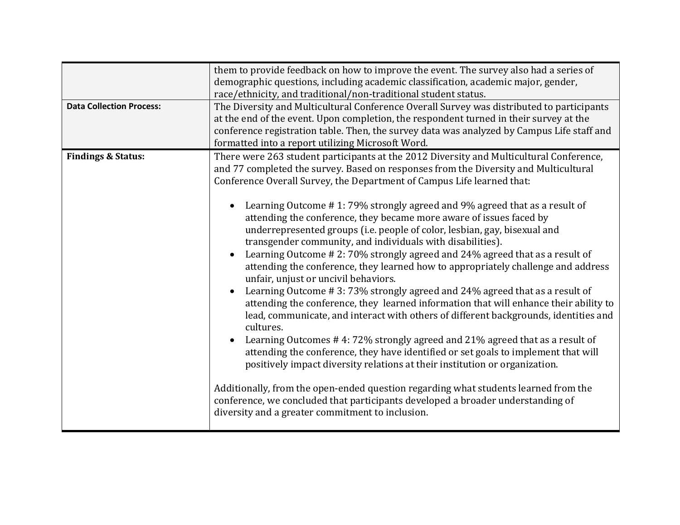| <b>Data Collection Process:</b> | them to provide feedback on how to improve the event. The survey also had a series of<br>demographic questions, including academic classification, academic major, gender,<br>race/ethnicity, and traditional/non-traditional student status.<br>The Diversity and Multicultural Conference Overall Survey was distributed to participants<br>at the end of the event. Upon completion, the respondent turned in their survey at the<br>conference registration table. Then, the survey data was analyzed by Campus Life staff and<br>formatted into a report utilizing Microsoft Word.                                                                                                                                                                                                                                                                                                                                                                                                                                                                                                                                                                                                                                                                                                                                                                                                                                                                                                                                           |
|---------------------------------|-----------------------------------------------------------------------------------------------------------------------------------------------------------------------------------------------------------------------------------------------------------------------------------------------------------------------------------------------------------------------------------------------------------------------------------------------------------------------------------------------------------------------------------------------------------------------------------------------------------------------------------------------------------------------------------------------------------------------------------------------------------------------------------------------------------------------------------------------------------------------------------------------------------------------------------------------------------------------------------------------------------------------------------------------------------------------------------------------------------------------------------------------------------------------------------------------------------------------------------------------------------------------------------------------------------------------------------------------------------------------------------------------------------------------------------------------------------------------------------------------------------------------------------|
| <b>Findings &amp; Status:</b>   | There were 263 student participants at the 2012 Diversity and Multicultural Conference,<br>and 77 completed the survey. Based on responses from the Diversity and Multicultural<br>Conference Overall Survey, the Department of Campus Life learned that:<br>Learning Outcome #1:79% strongly agreed and 9% agreed that as a result of<br>attending the conference, they became more aware of issues faced by<br>underrepresented groups (i.e. people of color, lesbian, gay, bisexual and<br>transgender community, and individuals with disabilities).<br>Learning Outcome #2:70% strongly agreed and 24% agreed that as a result of<br>attending the conference, they learned how to appropriately challenge and address<br>unfair, unjust or uncivil behaviors.<br>Learning Outcome #3:73% strongly agreed and 24% agreed that as a result of<br>attending the conference, they learned information that will enhance their ability to<br>lead, communicate, and interact with others of different backgrounds, identities and<br>cultures.<br>Learning Outcomes #4:72% strongly agreed and 21% agreed that as a result of<br>attending the conference, they have identified or set goals to implement that will<br>positively impact diversity relations at their institution or organization.<br>Additionally, from the open-ended question regarding what students learned from the<br>conference, we concluded that participants developed a broader understanding of<br>diversity and a greater commitment to inclusion. |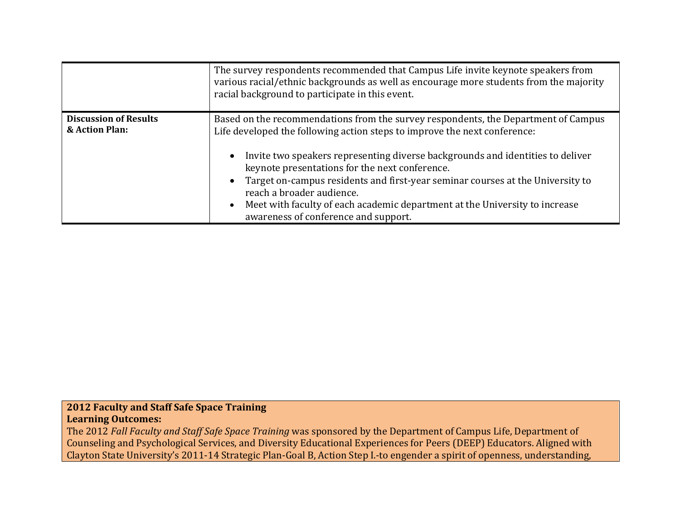|                                                | The survey respondents recommended that Campus Life invite keynote speakers from<br>various racial/ethnic backgrounds as well as encourage more students from the majority<br>racial background to participate in this event.                                                                                                                                                                                                                                                                                                                            |
|------------------------------------------------|----------------------------------------------------------------------------------------------------------------------------------------------------------------------------------------------------------------------------------------------------------------------------------------------------------------------------------------------------------------------------------------------------------------------------------------------------------------------------------------------------------------------------------------------------------|
| <b>Discussion of Results</b><br>& Action Plan: | Based on the recommendations from the survey respondents, the Department of Campus<br>Life developed the following action steps to improve the next conference:<br>Invite two speakers representing diverse backgrounds and identities to deliver<br>$\bullet$<br>keynote presentations for the next conference.<br>• Target on-campus residents and first-year seminar courses at the University to<br>reach a broader audience.<br>Meet with faculty of each academic department at the University to increase<br>awareness of conference and support. |

## **2012 Faculty and Staff Safe Space Training Learning Outcomes:**

The 2012 *Fall Faculty and Staff Safe Space Training* was sponsored by the Department of Campus Life, Department of Counseling and Psychological Services, and Diversity Educational Experiences for Peers (DEEP) Educators. Aligned with Clayton State University's 2011-14 Strategic Plan-Goal B, Action Step I.-to engender a spirit of openness, understanding,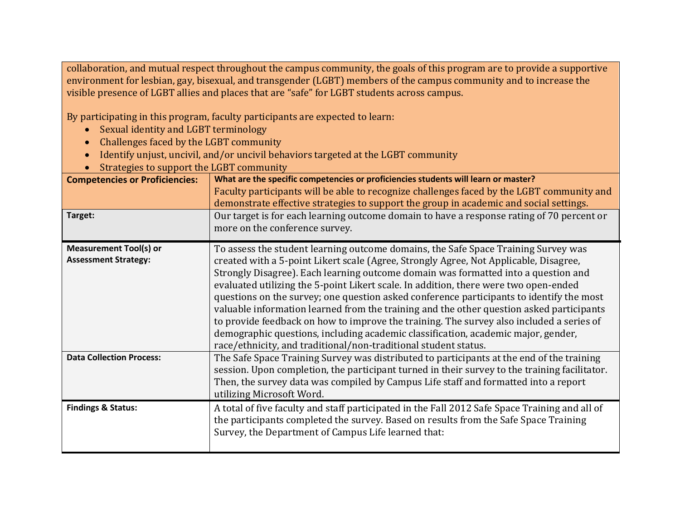collaboration, and mutual respect throughout the campus community, the goals of this program are to provide a supportive environment for lesbian, gay, bisexual, and transgender (LGBT) members of the campus community and to increase the visible presence of LGBT allies and places that are "safe" for LGBT students across campus.

By participating in this program, faculty participants are expected to learn:

- Sexual identity and LGBT terminology
- Challenges faced by the LGBT community
- Identify unjust, uncivil, and/or uncivil behaviors targeted at the LGBT community
- Strategies to support the LGBT community

| <b>Competencies or Proficiencies:</b><br>Target:             | What are the specific competencies or proficiencies students will learn or master?<br>Faculty participants will be able to recognize challenges faced by the LGBT community and<br>demonstrate effective strategies to support the group in academic and social settings.<br>Our target is for each learning outcome domain to have a response rating of 70 percent or<br>more on the conference survey.                                                                                                                                                                                                                                                                                                                                                                                              |
|--------------------------------------------------------------|-------------------------------------------------------------------------------------------------------------------------------------------------------------------------------------------------------------------------------------------------------------------------------------------------------------------------------------------------------------------------------------------------------------------------------------------------------------------------------------------------------------------------------------------------------------------------------------------------------------------------------------------------------------------------------------------------------------------------------------------------------------------------------------------------------|
| <b>Measurement Tool(s) or</b><br><b>Assessment Strategy:</b> | To assess the student learning outcome domains, the Safe Space Training Survey was<br>created with a 5-point Likert scale (Agree, Strongly Agree, Not Applicable, Disagree,<br>Strongly Disagree). Each learning outcome domain was formatted into a question and<br>evaluated utilizing the 5-point Likert scale. In addition, there were two open-ended<br>questions on the survey; one question asked conference participants to identify the most<br>valuable information learned from the training and the other question asked participants<br>to provide feedback on how to improve the training. The survey also included a series of<br>demographic questions, including academic classification, academic major, gender,<br>race/ethnicity, and traditional/non-traditional student status. |
| <b>Data Collection Process:</b>                              | The Safe Space Training Survey was distributed to participants at the end of the training<br>session. Upon completion, the participant turned in their survey to the training facilitator.<br>Then, the survey data was compiled by Campus Life staff and formatted into a report<br>utilizing Microsoft Word.                                                                                                                                                                                                                                                                                                                                                                                                                                                                                        |
| <b>Findings &amp; Status:</b>                                | A total of five faculty and staff participated in the Fall 2012 Safe Space Training and all of<br>the participants completed the survey. Based on results from the Safe Space Training<br>Survey, the Department of Campus Life learned that:                                                                                                                                                                                                                                                                                                                                                                                                                                                                                                                                                         |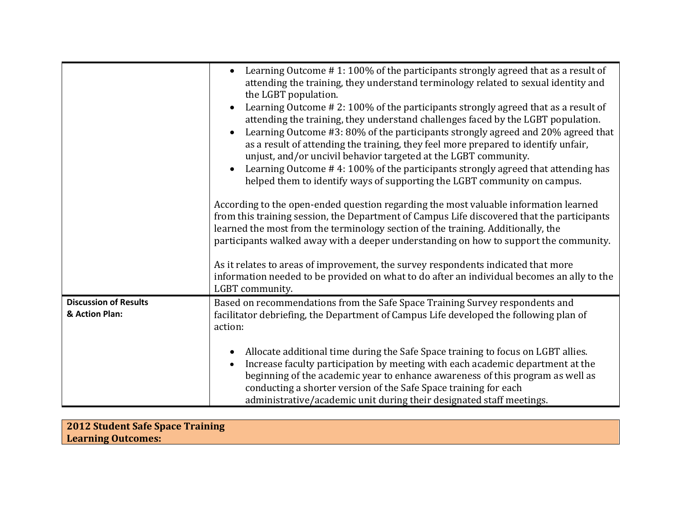|                                                | Learning Outcome #1:100% of the participants strongly agreed that as a result of<br>attending the training, they understand terminology related to sexual identity and<br>the LGBT population.<br>Learning Outcome #2:100% of the participants strongly agreed that as a result of<br>attending the training, they understand challenges faced by the LGBT population.<br>Learning Outcome #3: 80% of the participants strongly agreed and 20% agreed that<br>as a result of attending the training, they feel more prepared to identify unfair,<br>unjust, and/or uncivil behavior targeted at the LGBT community.<br>Learning Outcome #4:100% of the participants strongly agreed that attending has<br>helped them to identify ways of supporting the LGBT community on campus.<br>According to the open-ended question regarding the most valuable information learned<br>from this training session, the Department of Campus Life discovered that the participants<br>learned the most from the terminology section of the training. Additionally, the<br>participants walked away with a deeper understanding on how to support the community.<br>As it relates to areas of improvement, the survey respondents indicated that more<br>information needed to be provided on what to do after an individual becomes an ally to the<br>LGBT community. |
|------------------------------------------------|-------------------------------------------------------------------------------------------------------------------------------------------------------------------------------------------------------------------------------------------------------------------------------------------------------------------------------------------------------------------------------------------------------------------------------------------------------------------------------------------------------------------------------------------------------------------------------------------------------------------------------------------------------------------------------------------------------------------------------------------------------------------------------------------------------------------------------------------------------------------------------------------------------------------------------------------------------------------------------------------------------------------------------------------------------------------------------------------------------------------------------------------------------------------------------------------------------------------------------------------------------------------------------------------------------------------------------------------------------------|
| <b>Discussion of Results</b><br>& Action Plan: | Based on recommendations from the Safe Space Training Survey respondents and<br>facilitator debriefing, the Department of Campus Life developed the following plan of<br>action:<br>Allocate additional time during the Safe Space training to focus on LGBT allies.<br>Increase faculty participation by meeting with each academic department at the<br>beginning of the academic year to enhance awareness of this program as well as<br>conducting a shorter version of the Safe Space training for each<br>administrative/academic unit during their designated staff meetings.                                                                                                                                                                                                                                                                                                                                                                                                                                                                                                                                                                                                                                                                                                                                                                        |

| <b>2012 Student Safe Space Training</b> |  |
|-----------------------------------------|--|
| <b>Learning Outcomes:</b>               |  |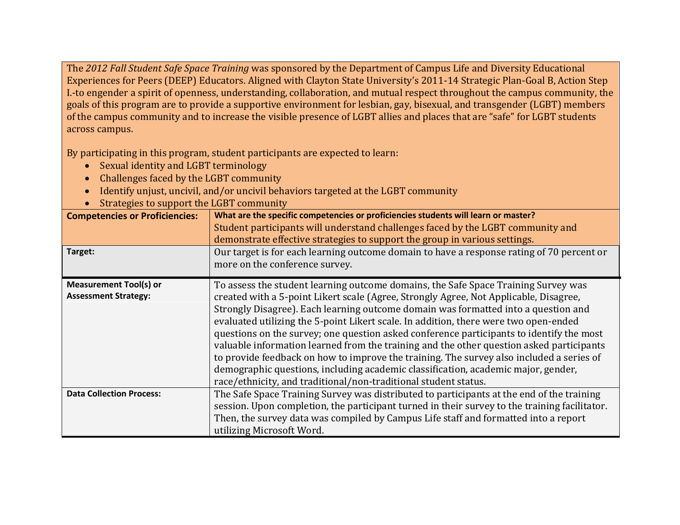The *2012 Fall Student Safe Space Training* was sponsored by the Department of Campus Life and Diversity Educational Experiences for Peers (DEEP) Educators. Aligned with Clayton State University's 2011-14 Strategic Plan-Goal B, Action Step I.-to engender a spirit of openness, understanding, collaboration, and mutual respect throughout the campus community, the goals of this program are to provide a supportive environment for lesbian, gay, bisexual, and transgender (LGBT) members of the campus community and to increase the visible presence of LGBT allies and places that are "safe" for LGBT students across campus.

By participating in this program, student participants are expected to learn:

- Sexual identity and LGBT terminology
- Challenges faced by the LGBT community
- Identify unjust, uncivil, and/or uncivil behaviors targeted at the LGBT community
- Strategies to support the LGBT community

| <b>Competencies or Proficiencies:</b><br>Target:             | What are the specific competencies or proficiencies students will learn or master?<br>Student participants will understand challenges faced by the LGBT community and<br>demonstrate effective strategies to support the group in various settings.<br>Our target is for each learning outcome domain to have a response rating of 70 percent or<br>more on the conference survey.                                                                                                                                                                                                                                                                                                                                                                                                                    |
|--------------------------------------------------------------|-------------------------------------------------------------------------------------------------------------------------------------------------------------------------------------------------------------------------------------------------------------------------------------------------------------------------------------------------------------------------------------------------------------------------------------------------------------------------------------------------------------------------------------------------------------------------------------------------------------------------------------------------------------------------------------------------------------------------------------------------------------------------------------------------------|
| <b>Measurement Tool(s) or</b><br><b>Assessment Strategy:</b> | To assess the student learning outcome domains, the Safe Space Training Survey was<br>created with a 5-point Likert scale (Agree, Strongly Agree, Not Applicable, Disagree,<br>Strongly Disagree). Each learning outcome domain was formatted into a question and<br>evaluated utilizing the 5-point Likert scale. In addition, there were two open-ended<br>questions on the survey; one question asked conference participants to identify the most<br>valuable information learned from the training and the other question asked participants<br>to provide feedback on how to improve the training. The survey also included a series of<br>demographic questions, including academic classification, academic major, gender,<br>race/ethnicity, and traditional/non-traditional student status. |
| <b>Data Collection Process:</b>                              | The Safe Space Training Survey was distributed to participants at the end of the training<br>session. Upon completion, the participant turned in their survey to the training facilitator.<br>Then, the survey data was compiled by Campus Life staff and formatted into a report<br>utilizing Microsoft Word.                                                                                                                                                                                                                                                                                                                                                                                                                                                                                        |